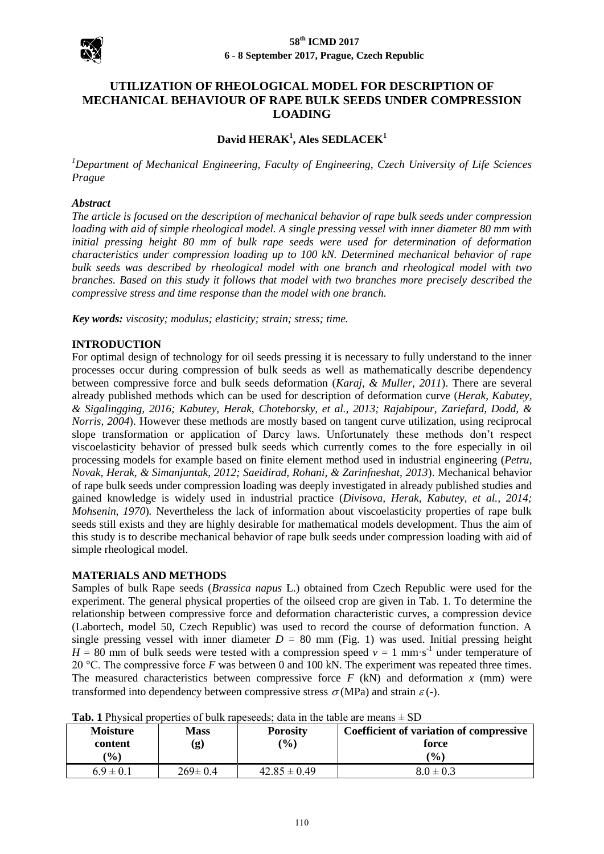

# **UTILIZATION OF RHEOLOGICAL MODEL FOR DESCRIPTION OF MECHANICAL BEHAVIOUR OF RAPE BULK SEEDS UNDER COMPRESSION LOADING**

# **David HERAK<sup>1</sup> , Ales SEDLACEK<sup>1</sup>**

*<sup>1</sup>Department of Mechanical Engineering, Faculty of Engineering, Czech University of Life Sciences Prague*

#### *Abstract*

*The article is focused on the description of mechanical behavior of rape bulk seeds under compression loading with aid of simple rheological model. A single pressing vessel with inner diameter 80 mm with initial pressing height 80 mm of bulk rape seeds were used for determination of deformation characteristics under compression loading up to 100 kN. Determined mechanical behavior of rape bulk seeds was described by rheological model with one branch and rheological model with two branches. Based on this study it follows that model with two branches more precisely described the compressive stress and time response than the model with one branch.*

*Key words: viscosity; modulus; elasticity; strain; stress; time.*

### **INTRODUCTION**

For optimal design of technology for oil seeds pressing it is necessary to fully understand to the inner processes occur during compression of bulk seeds as well as mathematically describe dependency between compressive force and bulk seeds deformation (*Karaj, & Muller, 2011*). There are several already published methods which can be used for description of deformation curve (*Herak, Kabutey, & Sigalingging, 2016; Kabutey, Herak, Choteborsky, et al., 2013; Rajabipour, Zariefard, Dodd, & Norris, 2004*). However these methods are mostly based on tangent curve utilization, using reciprocal slope transformation or application of Darcy laws. Unfortunately these methods don't respect viscoelasticity behavior of pressed bulk seeds which currently comes to the fore especially in oil processing models for example based on finite element method used in industrial engineering (*Petru, Novak, Herak, & Simanjuntak, 2012; Saeidirad, Rohani, & Zarinfneshat, 2013*). Mechanical behavior of rape bulk seeds under compression loading was deeply investigated in already published studies and gained knowledge is widely used in industrial practice (*Divisova, Herak, Kabutey, et al., 2014; Mohsenin, 1970*)*.* Nevertheless the lack of information about viscoelasticity properties of rape bulk seeds still exists and they are highly desirable for mathematical models development. Thus the aim of this study is to describe mechanical behavior of rape bulk seeds under compression loading with aid of simple rheological model.

### **MATERIALS AND METHODS**

Samples of bulk Rape seeds (*Brassica napus* L.) obtained from Czech Republic were used for the experiment. The general physical properties of the oilseed crop are given in Tab. 1. To determine the relationship between compressive force and deformation characteristic curves, a compression device (Labortech, model 50, Czech Republic) was used to record the course of deformation function. A single pressing vessel with inner diameter  $D = 80$  mm (Fig. 1) was used. Initial pressing height  $H = 80$  mm of bulk seeds were tested with a compression speed  $v = 1$  mm·s<sup>-1</sup> under temperature of 20 °C. The compressive force *F* was between 0 and 100 kN. The experiment was repeated three times. The measured characteristics between compressive force  $F$  (kN) and deformation  $x$  (mm) were transformed into dependency between compressive stress  $\sigma(MPa)$  and strain  $\varepsilon$  (-).

| <b>Moisture</b><br>content<br>$(\%)$ | <b>Mass</b><br>(g) | <b>Porosity</b><br>$\mathcal{O}_0$ | Coefficient of variation of compressive<br>force<br>$($ %) |
|--------------------------------------|--------------------|------------------------------------|------------------------------------------------------------|
| $6.9 \pm 0.1$                        | $269 \pm 0.4$      | $42.85 \pm 0.49$                   | $8.0 \pm 0.3$                                              |

**Tab. 1** Physical properties of bulk rapeseeds; data in the table are means  $\pm$  SD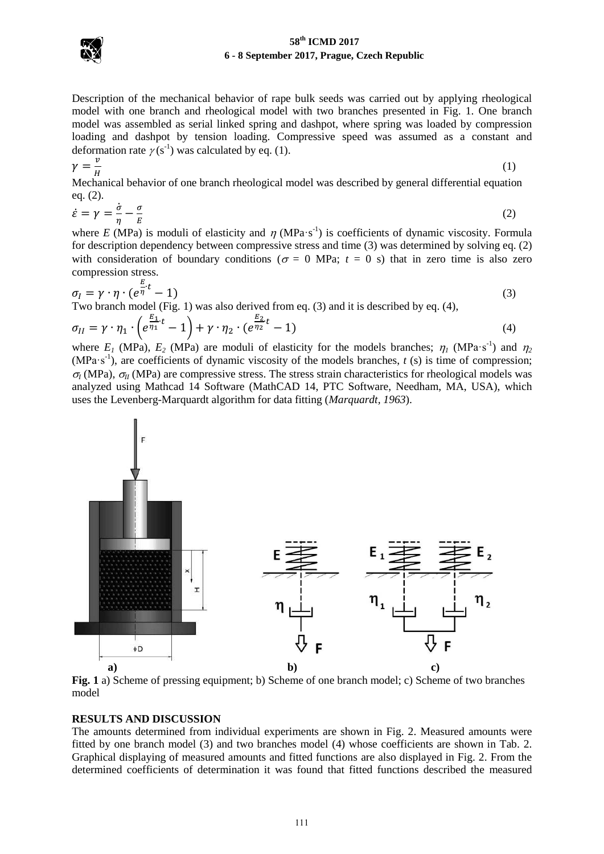# **58th ICMD 2017 6 - 8 September 2017, Prague, Czech Republic**



 $\gamma$ 

Description of the mechanical behavior of rape bulk seeds was carried out by applying rheological model with one branch and rheological model with two branches presented in Fig. 1. One branch model was assembled as serial linked spring and dashpot, where spring was loaded by compression loading and dashpot by tension loading. Compressive speed was assumed as a constant and deformation rate  $\gamma(s^{-1})$  was calculated by eq. (1).

$$
=\frac{\nu}{\mu}\tag{1}
$$

Mechanical behavior of one branch rheological model was described by general differential equation eq. (2).

$$
\dot{\varepsilon} = \gamma = \frac{\dot{\sigma}}{\eta} - \frac{\sigma}{E} \tag{2}
$$

where E (MPa) is moduli of elasticity and  $\eta$  (MPa·s<sup>-1</sup>) is coefficients of dynamic viscosity. Formula for description dependency between compressive stress and time (3) was determined by solving eq. (2) with consideration of boundary conditions ( $\sigma = 0$  MPa;  $t = 0$  s) that in zero time is also zero compression stress.

$$
\sigma_I = \gamma \cdot \eta \cdot (e^{\frac{E}{\eta}t} - 1)
$$
\nTwo branch model (Fig. 1) was also derived from eq. (3) and it is described by eq. (4),

$$
\sigma_{II} = \gamma \cdot \eta_1 \cdot \left(e^{\frac{E_1}{\eta_1}t} - 1\right) + \gamma \cdot \eta_2 \cdot \left(e^{\frac{E_2}{\eta_2}t} - 1\right) \tag{4}
$$

where  $E_1$  (MPa),  $E_2$  (MPa) are moduli of elasticity for the models branches;  $\eta_1$  (MPa·s<sup>-1</sup>) and  $\eta_2$ (MPa·s<sup>-1</sup>), are coefficients of dynamic viscosity of the models branches,  $t$  (s) is time of compression;  $\sigma$ <sub>*I*</sub> (MPa),  $\sigma$ <sub>*II*</sub> (MPa) are compressive stress. The stress strain characteristics for rheological models was analyzed using Mathcad 14 Software (MathCAD 14, PTC Software, Needham, MA, USA), which uses the Levenberg-Marquardt algorithm for data fitting (*Marquardt, 1963*).



**Fig. 1** a) Scheme of pressing equipment; b) Scheme of one branch model; c) Scheme of two branches model

### **RESULTS AND DISCUSSION**

The amounts determined from individual experiments are shown in Fig. 2. Measured amounts were fitted by one branch model (3) and two branches model (4) whose coefficients are shown in Tab. 2. Graphical displaying of measured amounts and fitted functions are also displayed in Fig. 2. From the determined coefficients of determination it was found that fitted functions described the measured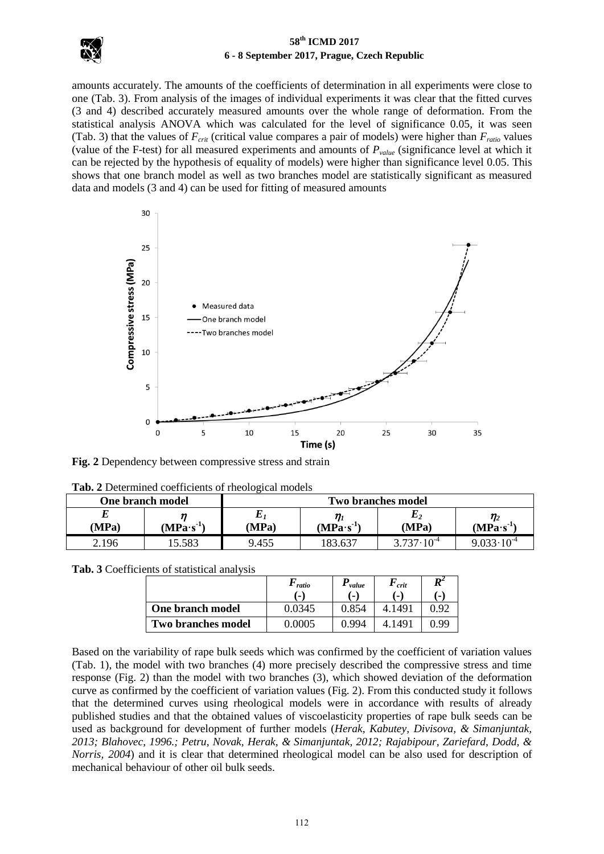

# **58th ICMD 2017 6 - 8 September 2017, Prague, Czech Republic**

amounts accurately. The amounts of the coefficients of determination in all experiments were close to one (Tab. 3). From analysis of the images of individual experiments it was clear that the fitted curves (3 and 4) described accurately measured amounts over the whole range of deformation. From the statistical analysis ANOVA which was calculated for the level of significance 0.05, it was seen (Tab. 3) that the values of  $F_{crit}$  (critical value compares a pair of models) were higher than  $F_{ratio}$  values (value of the F-test) for all measured experiments and amounts of *Pvalue* (significance level at which it can be rejected by the hypothesis of equality of models) were higher than significance level 0.05. This shows that one branch model as well as two branches model are statistically significant as measured data and models (3 and 4) can be used for fitting of measured amounts



**Fig. 2** Dependency between compressive stress and strain

| тим прессинной сосителено от нюбледей нюбер<br><b>One branch model</b> |             | <b>Two branches model</b> |             |                       |                         |  |
|------------------------------------------------------------------------|-------------|---------------------------|-------------|-----------------------|-------------------------|--|
| (MPa)                                                                  | $(MPa·s-1)$ | (MPa)                     | $(MPa·s-1)$ | L 2<br>(MPa)          | $\eta_2$<br>$(MPa·s-1)$ |  |
| 2.196                                                                  | 5.583       | 9.455                     | 183.637     | $3.737 \cdot 10^{-4}$ | $9.033 \cdot 10^{-4}$   |  |

**Tab. 2** Determined coefficients of rheological models

**Tab. 3** Coefficients of statistical analysis

|                           | ratio  | value | $\bm{r}_{\textit{crit}}$ | $\boldsymbol{R}^2$ |
|---------------------------|--------|-------|--------------------------|--------------------|
|                           | н.     | .     | $\blacksquare$           | $\blacksquare$     |
| One branch model          | 0.0345 | 0.854 | 4.149                    | ነ ባ′               |
| <b>Two branches model</b> | በ በበበ5 | በ 994 | 149                      | ) QQ               |

Based on the variability of rape bulk seeds which was confirmed by the coefficient of variation values (Tab. 1), the model with two branches (4) more precisely described the compressive stress and time response (Fig. 2) than the model with two branches (3), which showed deviation of the deformation curve as confirmed by the coefficient of variation values (Fig. 2). From this conducted study it follows that the determined curves using rheological models were in accordance with results of already published studies and that the obtained values of viscoelasticity properties of rape bulk seeds can be used as background for development of further models (*Herak, Kabutey, Divisova, & Simanjuntak, 2013; Blahovec, 1996.; Petru, Novak, Herak, & Simanjuntak, 2012; Rajabipour, Zariefard, Dodd, & Norris, 2004*) and it is clear that determined rheological model can be also used for description of mechanical behaviour of other oil bulk seeds.